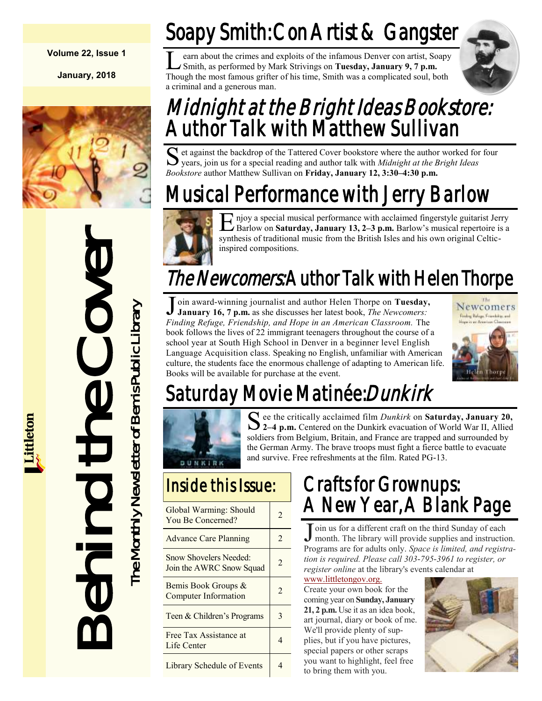#### **Volume 22, Issue 1**

**January, 2018**





# Soapy Smith: Con Artist & Gangster

 $\overline{\mathsf{L}}$ earn about the crimes and exploits of the infamous Denver con artist, Soapy Smith, as performed by Mark Strivings on **Tuesday, January 9, 7 p.m.**  Though the most famous grifter of his time, Smith was a complicated soul, both a criminal and a generous man.



# Midnight at the Bright Ideas Bookstore: Author Talk with Matthew Sullivan

S et against the backdrop of the Tattered Cover bookstore where the author worked for four years, join us for a special reading and author talk with *Midnight at the Bright Ideas* years, join us for a special reading and author talk with *Midnight at the Bright Ideas Bookstore* author Matthew Sullivan on **Friday, January 12, 3:30–4:30 p.m.**

# Musical Performance with Jerry Barlow



E njoy a special musical performance with acclaimed fingerstyle guitarist Jerry Barlow on **Saturday, January 13, 2–3 p.m.** Barlow's musical repertoire is a njoy a special musical performance with acclaimed fingerstyle guitarist Jerry synthesis of traditional music from the British Isles and his own original Celticinspired compositions.

# The Newcomers: Author Talk with Helen Thorpe

Join award-winning journalist and author Helen Thorpe on Tuesday,<br>January 16, 7 p.m. as she discusses her latest book, *The Newcomers*: oin award-winning journalist and author Helen Thorpe on **Tuesday,**  *Finding Refuge, Friendship, and Hope in an American Classroom.* The book follows the lives of 22 immigrant teenagers throughout the course of a school year at South High School in Denver in a beginner level English Language Acquisition class. Speaking no English, unfamiliar with American culture, the students face the enormous challenge of adapting to American life. Books will be available for purchase at the event.



Newcomers

# Saturday Movie Matinée:*Dunkirk*



See the critically acclaimed film *Dunkirk* on **Saturday, January 20,** 2–4 p.m. Centered on the Dunkirk evacuation of World War II, Allied ee the critically acclaimed film *Dunkirk* on **Saturday, January 20,**  soldiers from Belgium, Britain, and France are trapped and surrounded by the German Army. The brave troops must fight a fierce battle to evacuate and survive. Free refreshments at the film. Rated PG-13.

#### Inside this Issue:

| Global Warming: Should<br>You Be Concerned?               | $\mathfrak{D}$ |
|-----------------------------------------------------------|----------------|
| <b>Advance Care Planning</b>                              | $\mathfrak{D}$ |
| <b>Snow Shovelers Needed:</b><br>Join the AWRC Snow Squad | $\overline{2}$ |
| Bemis Book Groups &<br><b>Computer Information</b>        | $\mathfrak{D}$ |
| Teen & Children's Programs                                | $\mathbf{3}$   |
| Free Tax Assistance at<br>Life Center                     | 4              |
| Library Schedule of Events                                |                |

## Crafts for Grownups: A New Year, A Blank Page

J oin us for a different craft on the third Sunday of each month. The library will provide supplies and instruction month. The library will provide supplies and instruction. Programs are for adults only. *Space is limited, and registration is required. Please call 303-795-3961 to register, or register online* at the library's events calendar at

[www.littletongov.org.](https://www.littletongov.org/city-services/city-departments/bemis-library/library-events-calendar/-curm-1/-cury-2018/-selcat-3) Create your own book for the coming year on **Sunday, January 21, 2 p.m.** Use it as an idea book, art journal, diary or book of me. We'll provide plenty of supplies, but if you have pictures, special papers or other scraps you want to highlight, feel free to bring them with you.

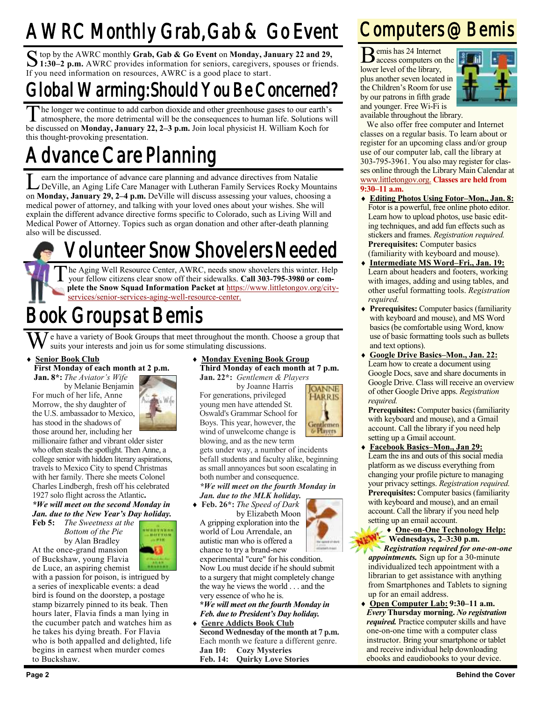# AWRC Monthly Grab, Gab & Go Event

S top by the AWRC monthly Grab, Gab & Go Event on Monday, January 22 and 29,<br>1:30–2 p.m. AWRC provides information for seniors, caregivers, spouses or friends. top by the AWRC monthly **Grab, Gab & Go Event** on **Monday, January 22 and 29,**  If you need information on resources, AWRC is a good place to start.

## Global Warming: Should You Be Concerned?

 $\overline{\mathrm{T}}$ he longer we continue to add carbon dioxide and other greenhouse gases to our earth's atmosphere, the more detrimental will be the consequences to human life. Solutions will be discussed on **Monday, January 22, 2–3 p.m.** Join local physicist H. William Koch for this thought-provoking presentation.

# **Vance Care Planning**

Learn the importance of advance care planning and advance directives from Natalie<br>
DeVille, an Aging Life Care Manager with Lutheran Family Services Rocky Mountain<br>
on **Monday, January 29, 2–4 p.m.** DeVille will discuss as earn the importance of advance care planning and advance directives from Natalie DeVille, an Aging Life Care Manager with Lutheran Family Services Rocky Mountains medical power of attorney, and talking with your loved ones about your wishes. She will explain the different advance directive forms specific to Colorado, such as Living Will and Medical Power of Attorney. Topics such as organ donation and other after-death planning also will be discussed.

# Volunteer Snow Shovelers Needed

T he Aging Well Resource Center, AWRC, needs snow shovelers this winter. Help your fellow citizens clear snow off their sidewalks. **Call 303-795-3980 or complete the Snow Squad Information Packet at** [https://www.littletongov.org/city](https://www.littletongov.org/city-services/senior-services-aging-well-resource-center)[services/senior-services-aging-well-resource-center.](https://www.littletongov.org/city-services/senior-services-aging-well-resource-center)

# Book Groups at Bemis

e have a variety of Book Groups that meet throughout the month. Choose a group that suits your interests and join us for some stimulating discussions.

#### **Senior Book Club**

**First Monday of each month at 2 p.m.**

**Jan. 8\*:** *The Aviator's Wife* by Melanie Benjamin

For much of her life, Anne Morrow, the shy daughter of the U.S. ambassador to Mexico, has stood in the shadows of those around her, including her



millionaire father and vibrant older sister who often steals the spotlight. Then Anne, a college senior with hidden literary aspirations, travels to Mexico City to spend Christmas with her family. There she meets Colonel Charles Lindbergh, fresh off his celebrated 1927 solo flight across the Atlantic**.**

*\*We will meet on the second Monday in Jan. due to the New Year's Day holiday.* **Feb 5:** *The Sweetness at the*

*Bottom of the Pie* by Alan Bradley At the once-grand mansion of Buckshaw, young Flavia



de Luce, an aspiring chemist with a passion for poison, is intrigued by a series of inexplicable events: a dead bird is found on the doorstep, a postage stamp bizarrely pinned to its beak. Then hours later, Flavia finds a man lying in the cucumber patch and watches him as he takes his dying breath. For Flavia who is both appalled and delighted, life begins in earnest when murder comes to Buckshaw.

 **Monday Evening Book Group Third Monday of each month at 7 p.m. Jan. 22\*:** *Gentlemen & Players*

> **OANNE HARRIS**

Gentlemen<br>G Players

by Joanne Harris

For generations, privileged young men have attended St. Oswald's Grammar School for Boys. This year, however, the wind of unwelcome change is blowing, and as the new term

gets under way, a number of incidents befall students and faculty alike, beginning as small annoyances but soon escalating in both number and consequence.

*\*We will meet on the fourth Monday in Jan. due to the MLK holiday.*

 **Feb. 26\*:** *The Speed of Dark* by Elizabeth Moon A gripping exploration into the world of Lou Arrendale, an autistic man who is offered a

chance to try a brand-new experimental "cure" for his condition. Now Lou must decide if he should submit to a surgery that might completely change the way he views the world . . . and the very essence of who he is.

**\****We will meet on the fourth Monday in Feb. due to President's Day holiday.*

 **Genre Addicts Book Club Second Wednesday of the month at 7 p.m.** Each month we feature a different genre. **Jan 10: Cozy Mysteries Feb. 14: Quirky Love Stories**

## Computers @ Bemis

B emis has 24 Internet access computers on the lower level of the library, plus another seven located in the Children's Room for use by our patrons in fifth grade and younger. Free Wi-Fi is



available throughout the library.

We also offer free computer and Internet classes on a regular basis. To learn about or register for an upcoming class and/or group use of our computer lab, call the library at 303-795-3961. You also may register for classes online through the Library Main Calendar at [www.littletongov.org.](https://www.littletongov.org/city-services/city-departments/bemis-library/library-events-calendar/-selcat-157/-curm-1/-cury-2018) **Classes are held from 9:30–11 a.m.**

- **Editing Photos Using Fotor–Mon., Jan. 8:** Fotor is a powerful, free online photo editor. Learn how to upload photos, use basic editing techniques, and add fun effects such as stickers and frames. *Registration required.* **Prerequisites:** Computer basics (familiarity with keyboard and mouse).
- **Intermediate MS Word–Fri., Jan. 19:** Learn about headers and footers, working with images, adding and using tables, and other useful formatting tools. *Registration required.*
- **Prerequisites:** Computer basics (familiarity with keyboard and mouse), and MS Word basics (be comfortable using Word, know use of basic formatting tools such as bullets and text options).
- **Google Drive Basics–Mon., Jan. 22:** Learn how to create a document using Google Docs, save and share documents in Google Drive. Class will receive an overview of other Google Drive apps. *Registration required.*

**Prerequisites:** Computer basics (familiarity with keyboard and mouse), and a Gmail account. Call the library if you need help setting up a Gmail account.

 **Facebook Basics–Mon., Jan 29:** Learn the ins and outs of this social media platform as we discuss everything from changing your profile picture to managing your privacy settings. *Registration required.* **Prerequisites:** Computer basics (familiarity with keyboard and mouse), and an email account. Call the library if you need help setting up an email account.

#### **One-on-One Technology Help: Wednesdays, 2–3:30 p.m.**

*Registration required for one-on-one appointments.* Sign up for a 30-minute individualized tech appointment with a librarian to get assistance with anything from Smartphones and Tablets to signing up for an email address.

 **Open Computer Lab: 9:30–11 a.m.** *Every* **Thursday morning.** *No registration required.* Practice computer skills and have one-on-one time with a computer class instructor. Bring your smartphone or tablet and receive individual help downloading ebooks and eaudiobooks to your device.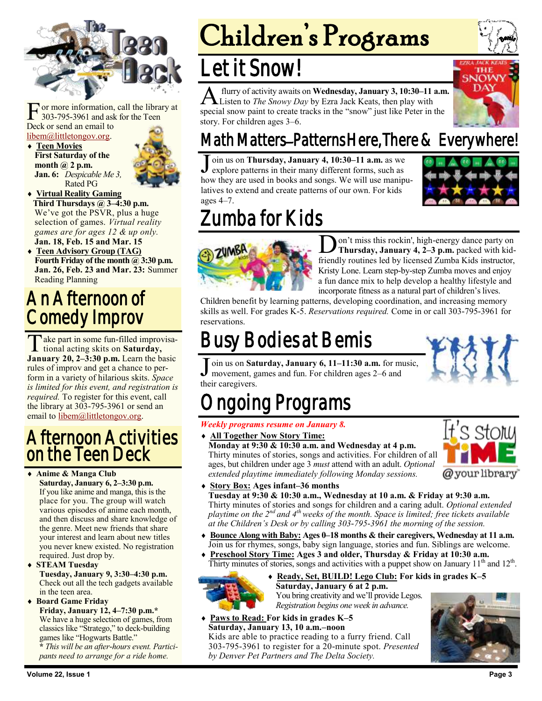

F or more information,<br>303-795-3961 and ask<br>Deck or send an email to or more information, call the library at 303-795-3961 and ask for the Teen [libem@littletongov.org.](mailto:libem@littletongov.org.)

 **Teen Movies First Saturday of the month @ 2 p.m. Jan. 6:** *Despicable Me 3,* Rated PG



- **Virtual Reality Gaming Third Thursdays @ 3–4:30 p.m.** We've got the PSVR, plus a huge selection of games. *Virtual reality games are for ages 12 & up only.* **Jan. 18, Feb. 15 and Mar. 15**
- **Teen Advisory Group (TAG) Fourth Friday of the month @ 3:30 p.m. Jan. 26, Feb. 23 and Mar. 23:** Summer Reading Planning

### An Afternoon of Comedy Improv

Take part in some fun-filled improvisa-<br>tional acting skits on Saturday, tional acting skits on **Saturday, January 20, 2–3:30 p.m.** Learn the basic rules of improv and get a chance to perform in a variety of hilarious skits. *Space is limited for this event, and registration is required.* To register for this event, call the library at 303-795-3961 or send an email to [libem@littletongov.org.](mailto:libem@littletongov.org)

#### Afternoon Activities on the Teen Deck

 **Anime & Manga Club Saturday, January 6, 2–3:30 p.m.** If you like anime and manga, this is the place for you. The group will watch various episodes of anime each month, and then discuss and share knowledge of the genre. Meet new friends that share your interest and learn about new titles you never knew existed. No registration required. Just drop by.

 **STEAM Tuesday Tuesday, January 9, 3:30–4:30 p.m.** Check out all the tech gadgets available in the teen area.

**Board Game Friday**

**Friday, January 12, 4–7:30 p.m.\*** We have a huge selection of games, from classics like "Stratego," to deck-building games like "Hogwarts Battle."

**\*** *This will be an after-hours event. Participants need to arrange for a ride home.*

# Children's Programs

## Let it Snow!

**A** flurry of activity awaits on **Wednesday, January 3, 10:30–11 a.m**<br>Examples to *The Snowy Day* by Ezra Jack Keats, then play with<br>special snow paint to create tracks in the "snow" just like Peter in the flurry of activity awaits on **Wednesday, January 3, 10:30–11 a.m.** Listen to *The Snowy Day* by Ezra Jack Keats, then play with story. For children ages 3–6.



## Math Matters–Patterns Here, There & Everywhere!

J oin us on **Thursday, January 4, 10:30–11 a.m.** as we explore patterns in their many different forms, such as how they are used in books and songs. We will use manipulatives to extend and create patterns of our own. For kids ages 4–7.



# umba for Kids



 $\overline{\mathbf{D}}$ on't miss this rockin', high-energy dance party on **Thursday, January 4, 2–3 p.m.** packed with kidfriendly routines led by licensed Zumba Kids instructor, Kristy Lone. Learn step-by-step Zumba moves and enjoy a fun dance mix to help develop a healthy lifestyle and incorporate fitness as a natural part of children's lives.

Children benefit by learning patterns, developing coordination, and increasing memory skills as well. For grades K-5. *Reservations required.* Come in or call 303-795-3961 for reservations.

# Busy Bodies at Bemis

J oin us on **Saturday, January 6, 11–11:30 a.m.** for music, movement, games and fun. For children ages 2–6 and their caregivers.

ages, but children under age 3 *must* attend with an adult. *Optional*

# ngoing Programs

#### *Weekly programs resume on January 8.*

 **All Together Now Story Time: Monday at 9:30 & 10:30 a.m. and Wednesday at 4 p.m.**

Thirty minutes of stories, songs and activities. For children of all @your library

*extended playtime immediately following Monday sessions.* **Story Box: Ages infant–36 months**

#### **Tuesday at 9:30 & 10:30 a.m., Wednesday at 10 a.m. & Friday at 9:30 a.m.** Thirty minutes of stories and songs for children and a caring adult. *Optional extended playtime on the 2nd and 4th weeks of the month. Space is limited; free tickets available at the Children's Desk or by calling 303-795-3961 the morning of the session.*

- **Bounce Along with Baby: Ages 0–18 months & their caregivers, Wednesday at 11 a.m.** Join us for rhymes, songs, baby sign language, stories and fun. Siblings are welcome.
- **Preschool Story Time: Ages 3 and older, Thursday & Friday at 10:30 a.m.** Thirty minutes of stories, songs and activities with a puppet show on January 11<sup>th</sup> and 12<sup>th</sup>.



#### **Ready, Set, BUILD! Lego Club: For kids in grades K–5**

**Saturday, January 6 at 2 p.m.** You bring creativity and we'll provide Legos. *Registration begins one week in advance.*

 **Paws to Read: For kids in grades K–5 Saturday, January 13, 10 a.m.–noon** Kids are able to practice reading to a furry friend. Call 303-795-3961 to register for a 20-minute spot. *Presented by Denver Pet Partners and The Delta Society.*